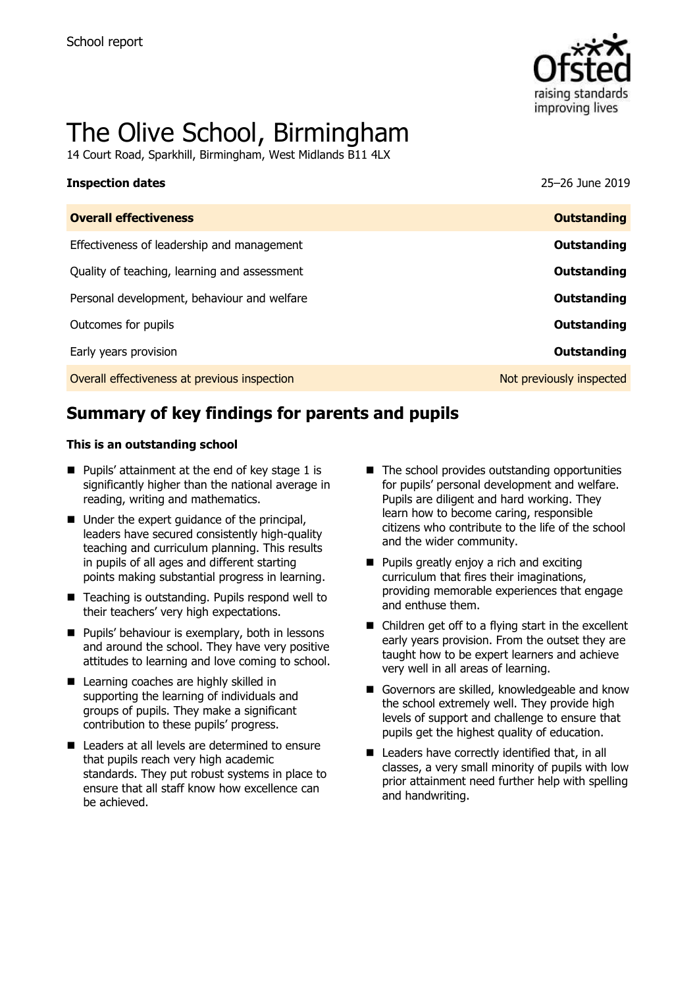

# The Olive School, Birmingham

14 Court Road, Sparkhill, Birmingham, West Midlands B11 4LX

| <b>Inspection dates</b>                      | 25-26 June 2019          |
|----------------------------------------------|--------------------------|
| <b>Overall effectiveness</b>                 | <b>Outstanding</b>       |
| Effectiveness of leadership and management   | Outstanding              |
| Quality of teaching, learning and assessment | Outstanding              |
| Personal development, behaviour and welfare  | Outstanding              |
| Outcomes for pupils                          | Outstanding              |
| Early years provision                        | Outstanding              |
| Overall effectiveness at previous inspection | Not previously inspected |

# **Summary of key findings for parents and pupils**

#### **This is an outstanding school**

- Pupils' attainment at the end of key stage 1 is significantly higher than the national average in reading, writing and mathematics.
- Under the expert quidance of the principal, leaders have secured consistently high-quality teaching and curriculum planning. This results in pupils of all ages and different starting points making substantial progress in learning.
- Teaching is outstanding. Pupils respond well to their teachers' very high expectations.
- $\blacksquare$  Pupils' behaviour is exemplary, both in lessons and around the school. They have very positive attitudes to learning and love coming to school.
- **Learning coaches are highly skilled in** supporting the learning of individuals and groups of pupils. They make a significant contribution to these pupils' progress.
- Leaders at all levels are determined to ensure that pupils reach very high academic standards. They put robust systems in place to ensure that all staff know how excellence can be achieved.
- $\blacksquare$  The school provides outstanding opportunities for pupils' personal development and welfare. Pupils are diligent and hard working. They learn how to become caring, responsible citizens who contribute to the life of the school and the wider community.
- **Pupils greatly enjoy a rich and exciting** curriculum that fires their imaginations, providing memorable experiences that engage and enthuse them.
- Children get off to a flying start in the excellent early years provision. From the outset they are taught how to be expert learners and achieve very well in all areas of learning.
- Governors are skilled, knowledgeable and know the school extremely well. They provide high levels of support and challenge to ensure that pupils get the highest quality of education.
- Leaders have correctly identified that, in all classes, a very small minority of pupils with low prior attainment need further help with spelling and handwriting.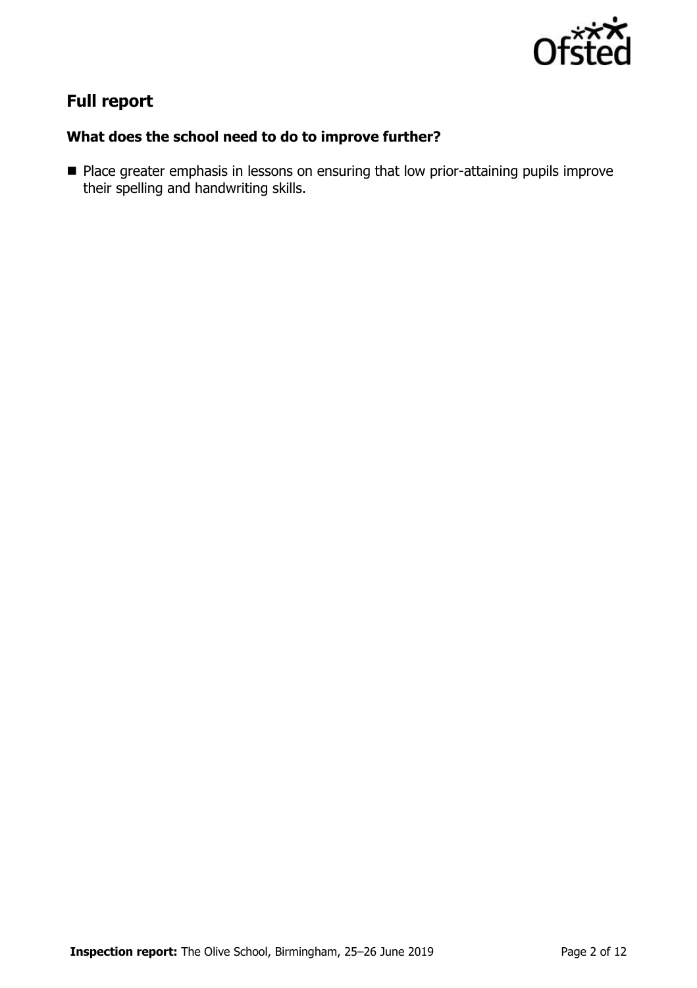

# **Full report**

### **What does the school need to do to improve further?**

**Place greater emphasis in lessons on ensuring that low prior-attaining pupils improve** their spelling and handwriting skills.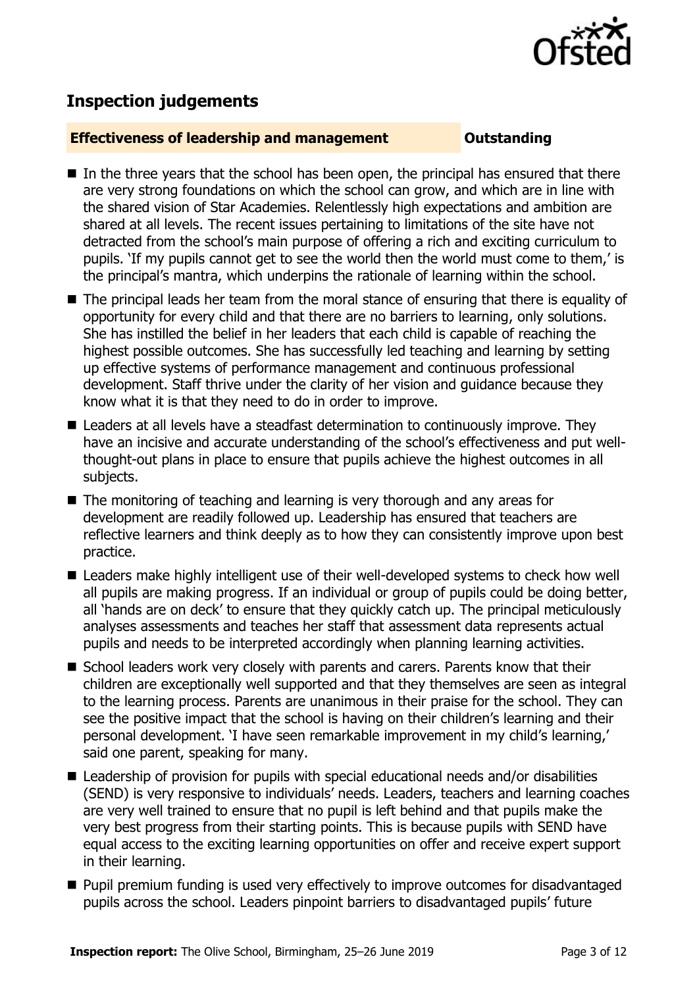

## **Inspection judgements**

#### **Effectiveness of leadership and management Cultum Outstanding**

- $\blacksquare$  In the three vears that the school has been open, the principal has ensured that there are very strong foundations on which the school can grow, and which are in line with the shared vision of Star Academies. Relentlessly high expectations and ambition are shared at all levels. The recent issues pertaining to limitations of the site have not detracted from the school's main purpose of offering a rich and exciting curriculum to pupils. 'If my pupils cannot get to see the world then the world must come to them,' is the principal's mantra, which underpins the rationale of learning within the school.
- The principal leads her team from the moral stance of ensuring that there is equality of opportunity for every child and that there are no barriers to learning, only solutions. She has instilled the belief in her leaders that each child is capable of reaching the highest possible outcomes. She has successfully led teaching and learning by setting up effective systems of performance management and continuous professional development. Staff thrive under the clarity of her vision and guidance because they know what it is that they need to do in order to improve.
- Leaders at all levels have a steadfast determination to continuously improve. They have an incisive and accurate understanding of the school's effectiveness and put wellthought-out plans in place to ensure that pupils achieve the highest outcomes in all subjects.
- The monitoring of teaching and learning is very thorough and any areas for development are readily followed up. Leadership has ensured that teachers are reflective learners and think deeply as to how they can consistently improve upon best practice.
- Leaders make highly intelligent use of their well-developed systems to check how well all pupils are making progress. If an individual or group of pupils could be doing better, all 'hands are on deck' to ensure that they quickly catch up. The principal meticulously analyses assessments and teaches her staff that assessment data represents actual pupils and needs to be interpreted accordingly when planning learning activities.
- School leaders work very closely with parents and carers. Parents know that their children are exceptionally well supported and that they themselves are seen as integral to the learning process. Parents are unanimous in their praise for the school. They can see the positive impact that the school is having on their children's learning and their personal development. 'I have seen remarkable improvement in my child's learning,' said one parent, speaking for many.
- $\blacksquare$  Leadership of provision for pupils with special educational needs and/or disabilities (SEND) is very responsive to individuals' needs. Leaders, teachers and learning coaches are very well trained to ensure that no pupil is left behind and that pupils make the very best progress from their starting points. This is because pupils with SEND have equal access to the exciting learning opportunities on offer and receive expert support in their learning.
- **Pupil premium funding is used very effectively to improve outcomes for disadvantaged** pupils across the school. Leaders pinpoint barriers to disadvantaged pupils' future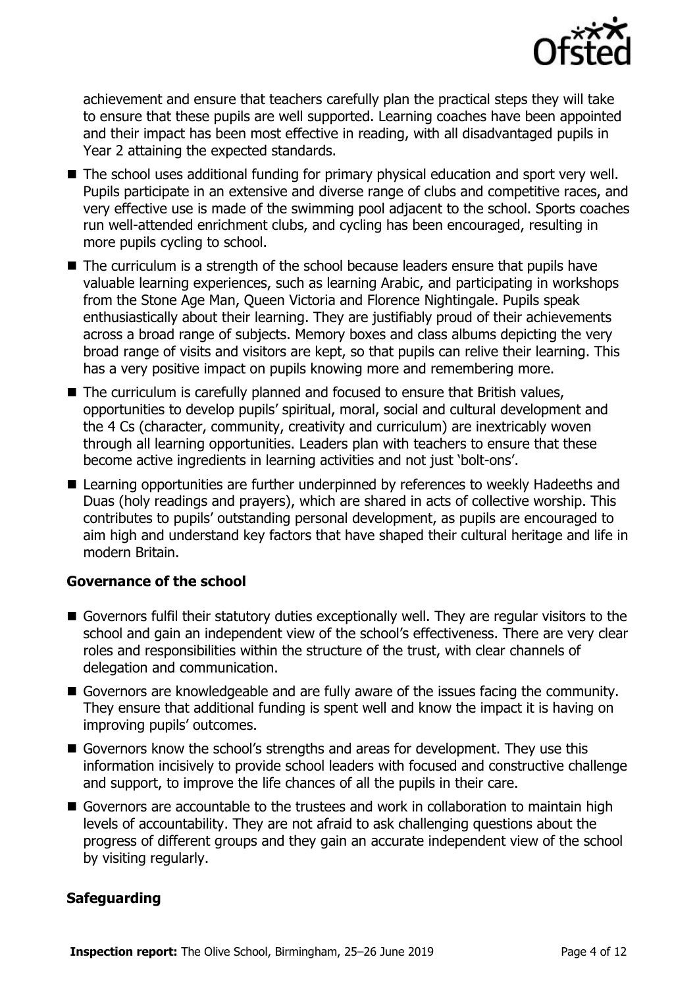

achievement and ensure that teachers carefully plan the practical steps they will take to ensure that these pupils are well supported. Learning coaches have been appointed and their impact has been most effective in reading, with all disadvantaged pupils in Year 2 attaining the expected standards.

- The school uses additional funding for primary physical education and sport very well. Pupils participate in an extensive and diverse range of clubs and competitive races, and very effective use is made of the swimming pool adjacent to the school. Sports coaches run well-attended enrichment clubs, and cycling has been encouraged, resulting in more pupils cycling to school.
- The curriculum is a strength of the school because leaders ensure that pupils have valuable learning experiences, such as learning Arabic, and participating in workshops from the Stone Age Man, Queen Victoria and Florence Nightingale. Pupils speak enthusiastically about their learning. They are justifiably proud of their achievements across a broad range of subjects. Memory boxes and class albums depicting the very broad range of visits and visitors are kept, so that pupils can relive their learning. This has a very positive impact on pupils knowing more and remembering more.
- The curriculum is carefully planned and focused to ensure that British values, opportunities to develop pupils' spiritual, moral, social and cultural development and the 4 Cs (character, community, creativity and curriculum) are inextricably woven through all learning opportunities. Leaders plan with teachers to ensure that these become active ingredients in learning activities and not just 'bolt-ons'.
- Learning opportunities are further underpinned by references to weekly Hadeeths and Duas (holy readings and prayers), which are shared in acts of collective worship. This contributes to pupils' outstanding personal development, as pupils are encouraged to aim high and understand key factors that have shaped their cultural heritage and life in modern Britain.

### **Governance of the school**

- Governors fulfil their statutory duties exceptionally well. They are regular visitors to the school and gain an independent view of the school's effectiveness. There are very clear roles and responsibilities within the structure of the trust, with clear channels of delegation and communication.
- Governors are knowledgeable and are fully aware of the issues facing the community. They ensure that additional funding is spent well and know the impact it is having on improving pupils' outcomes.
- Governors know the school's strengths and areas for development. They use this information incisively to provide school leaders with focused and constructive challenge and support, to improve the life chances of all the pupils in their care.
- Governors are accountable to the trustees and work in collaboration to maintain high levels of accountability. They are not afraid to ask challenging questions about the progress of different groups and they gain an accurate independent view of the school by visiting regularly.

### **Safeguarding**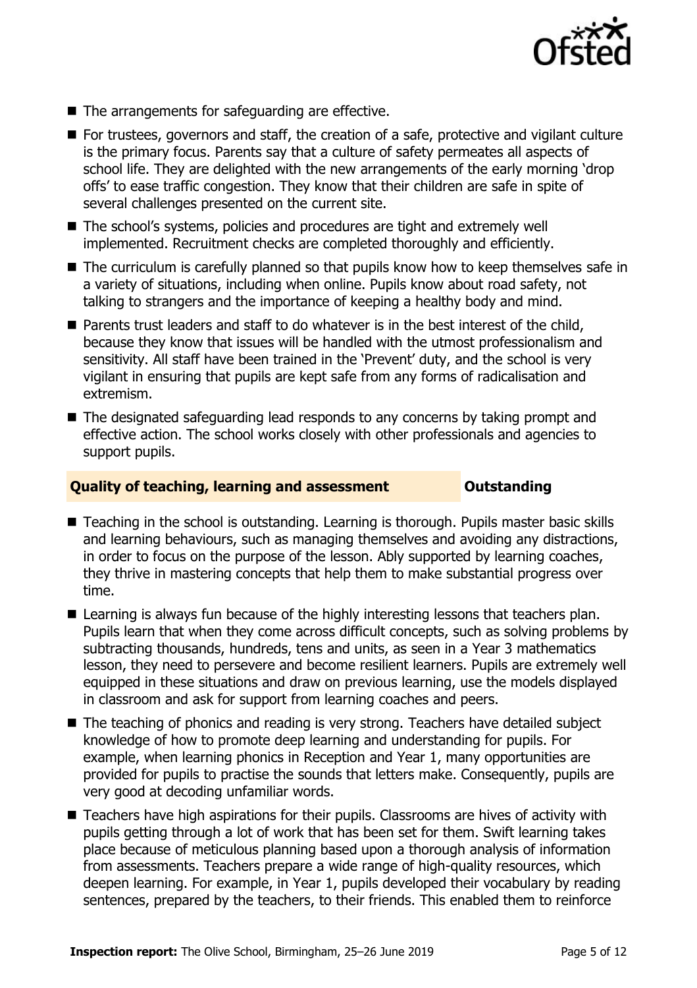

- The arrangements for safeguarding are effective.
- For trustees, governors and staff, the creation of a safe, protective and vigilant culture is the primary focus. Parents say that a culture of safety permeates all aspects of school life. They are delighted with the new arrangements of the early morning 'drop offs' to ease traffic congestion. They know that their children are safe in spite of several challenges presented on the current site.
- The school's systems, policies and procedures are tight and extremely well implemented. Recruitment checks are completed thoroughly and efficiently.
- The curriculum is carefully planned so that pupils know how to keep themselves safe in a variety of situations, including when online. Pupils know about road safety, not talking to strangers and the importance of keeping a healthy body and mind.
- $\blacksquare$  Parents trust leaders and staff to do whatever is in the best interest of the child, because they know that issues will be handled with the utmost professionalism and sensitivity. All staff have been trained in the 'Prevent' duty, and the school is very vigilant in ensuring that pupils are kept safe from any forms of radicalisation and extremism.
- The designated safeguarding lead responds to any concerns by taking prompt and effective action. The school works closely with other professionals and agencies to support pupils.

#### **Quality of teaching, learning and assessment Outstanding**

- Teaching in the school is outstanding. Learning is thorough. Pupils master basic skills and learning behaviours, such as managing themselves and avoiding any distractions, in order to focus on the purpose of the lesson. Ably supported by learning coaches, they thrive in mastering concepts that help them to make substantial progress over time.
- Learning is always fun because of the highly interesting lessons that teachers plan. Pupils learn that when they come across difficult concepts, such as solving problems by subtracting thousands, hundreds, tens and units, as seen in a Year 3 mathematics lesson, they need to persevere and become resilient learners. Pupils are extremely well equipped in these situations and draw on previous learning, use the models displayed in classroom and ask for support from learning coaches and peers.
- The teaching of phonics and reading is very strong. Teachers have detailed subject knowledge of how to promote deep learning and understanding for pupils. For example, when learning phonics in Reception and Year 1, many opportunities are provided for pupils to practise the sounds that letters make. Consequently, pupils are very good at decoding unfamiliar words.
- Teachers have high aspirations for their pupils. Classrooms are hives of activity with pupils getting through a lot of work that has been set for them. Swift learning takes place because of meticulous planning based upon a thorough analysis of information from assessments. Teachers prepare a wide range of high-quality resources, which deepen learning. For example, in Year 1, pupils developed their vocabulary by reading sentences, prepared by the teachers, to their friends. This enabled them to reinforce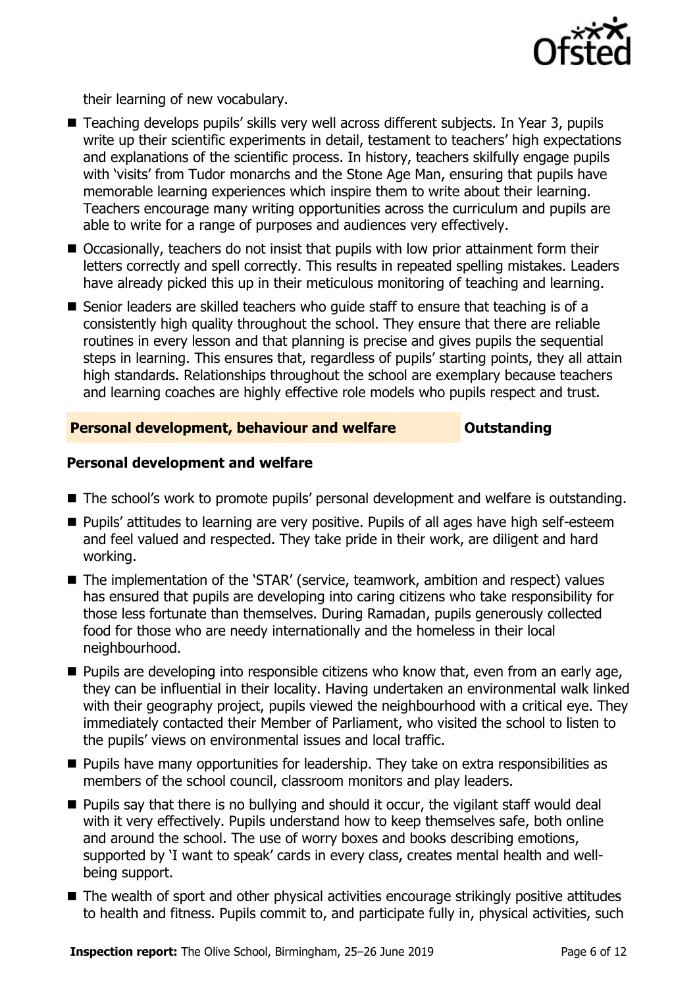

their learning of new vocabulary.

- Teaching develops pupils' skills very well across different subjects. In Year 3, pupils write up their scientific experiments in detail, testament to teachers' high expectations and explanations of the scientific process. In history, teachers skilfully engage pupils with 'visits' from Tudor monarchs and the Stone Age Man, ensuring that pupils have memorable learning experiences which inspire them to write about their learning. Teachers encourage many writing opportunities across the curriculum and pupils are able to write for a range of purposes and audiences very effectively.
- Occasionally, teachers do not insist that pupils with low prior attainment form their letters correctly and spell correctly. This results in repeated spelling mistakes. Leaders have already picked this up in their meticulous monitoring of teaching and learning.
- Senior leaders are skilled teachers who quide staff to ensure that teaching is of a consistently high quality throughout the school. They ensure that there are reliable routines in every lesson and that planning is precise and gives pupils the sequential steps in learning. This ensures that, regardless of pupils' starting points, they all attain high standards. Relationships throughout the school are exemplary because teachers and learning coaches are highly effective role models who pupils respect and trust.

### **Personal development, behaviour and welfare <b>COUTS** Outstanding

#### **Personal development and welfare**

- The school's work to promote pupils' personal development and welfare is outstanding.
- **Pupils' attitudes to learning are very positive. Pupils of all ages have high self-esteem** and feel valued and respected. They take pride in their work, are diligent and hard working.
- The implementation of the 'STAR' (service, teamwork, ambition and respect) values has ensured that pupils are developing into caring citizens who take responsibility for those less fortunate than themselves. During Ramadan, pupils generously collected food for those who are needy internationally and the homeless in their local neighbourhood.
- $\blacksquare$  Pupils are developing into responsible citizens who know that, even from an early age, they can be influential in their locality. Having undertaken an environmental walk linked with their geography project, pupils viewed the neighbourhood with a critical eye. They immediately contacted their Member of Parliament, who visited the school to listen to the pupils' views on environmental issues and local traffic.
- **Pupils have many opportunities for leadership. They take on extra responsibilities as** members of the school council, classroom monitors and play leaders.
- **Pupils say that there is no bullying and should it occur, the vigilant staff would deal** with it very effectively. Pupils understand how to keep themselves safe, both online and around the school. The use of worry boxes and books describing emotions, supported by 'I want to speak' cards in every class, creates mental health and wellbeing support.
- The wealth of sport and other physical activities encourage strikingly positive attitudes to health and fitness. Pupils commit to, and participate fully in, physical activities, such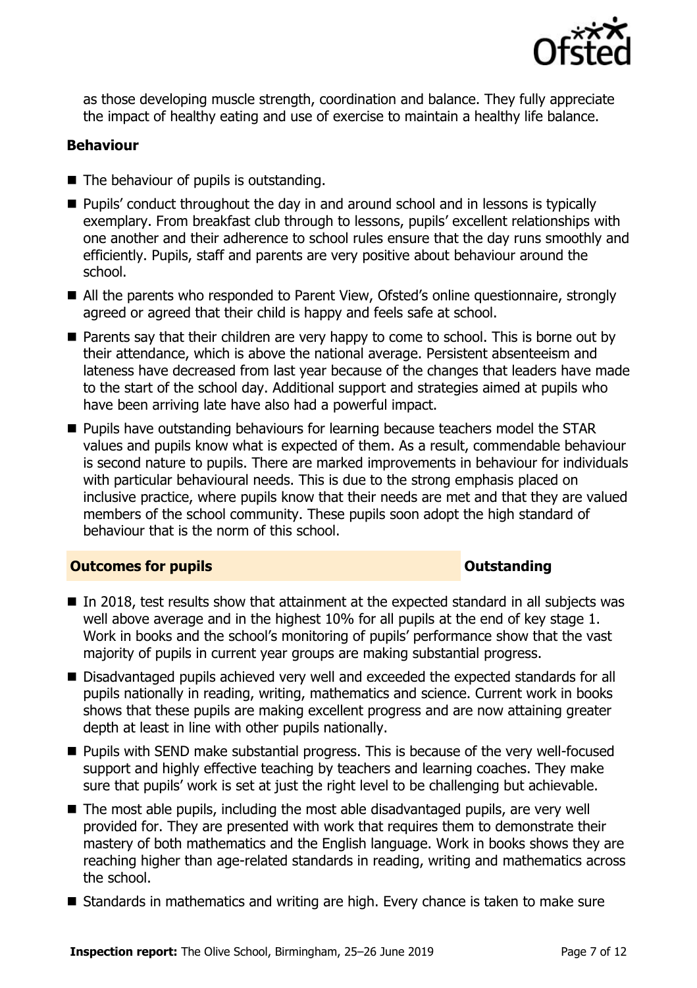

as those developing muscle strength, coordination and balance. They fully appreciate the impact of healthy eating and use of exercise to maintain a healthy life balance.

#### **Behaviour**

- The behaviour of pupils is outstanding.
- **Pupils'** conduct throughout the day in and around school and in lessons is typically exemplary. From breakfast club through to lessons, pupils' excellent relationships with one another and their adherence to school rules ensure that the day runs smoothly and efficiently. Pupils, staff and parents are very positive about behaviour around the school.
- All the parents who responded to Parent View, Ofsted's online questionnaire, strongly agreed or agreed that their child is happy and feels safe at school.
- **Parents say that their children are very happy to come to school. This is borne out by** their attendance, which is above the national average. Persistent absenteeism and lateness have decreased from last year because of the changes that leaders have made to the start of the school day. Additional support and strategies aimed at pupils who have been arriving late have also had a powerful impact.
- **Pupils have outstanding behaviours for learning because teachers model the STAR** values and pupils know what is expected of them. As a result, commendable behaviour is second nature to pupils. There are marked improvements in behaviour for individuals with particular behavioural needs. This is due to the strong emphasis placed on inclusive practice, where pupils know that their needs are met and that they are valued members of the school community. These pupils soon adopt the high standard of behaviour that is the norm of this school.

#### **Outcomes for pupils Outstanding**

- In 2018, test results show that attainment at the expected standard in all subjects was well above average and in the highest 10% for all pupils at the end of key stage 1. Work in books and the school's monitoring of pupils' performance show that the vast majority of pupils in current year groups are making substantial progress.
- Disadvantaged pupils achieved very well and exceeded the expected standards for all pupils nationally in reading, writing, mathematics and science. Current work in books shows that these pupils are making excellent progress and are now attaining greater depth at least in line with other pupils nationally.
- **Pupils with SEND make substantial progress. This is because of the very well-focused** support and highly effective teaching by teachers and learning coaches. They make sure that pupils' work is set at just the right level to be challenging but achievable.
- The most able pupils, including the most able disadvantaged pupils, are very well provided for. They are presented with work that requires them to demonstrate their mastery of both mathematics and the English language. Work in books shows they are reaching higher than age-related standards in reading, writing and mathematics across the school.
- Standards in mathematics and writing are high. Every chance is taken to make sure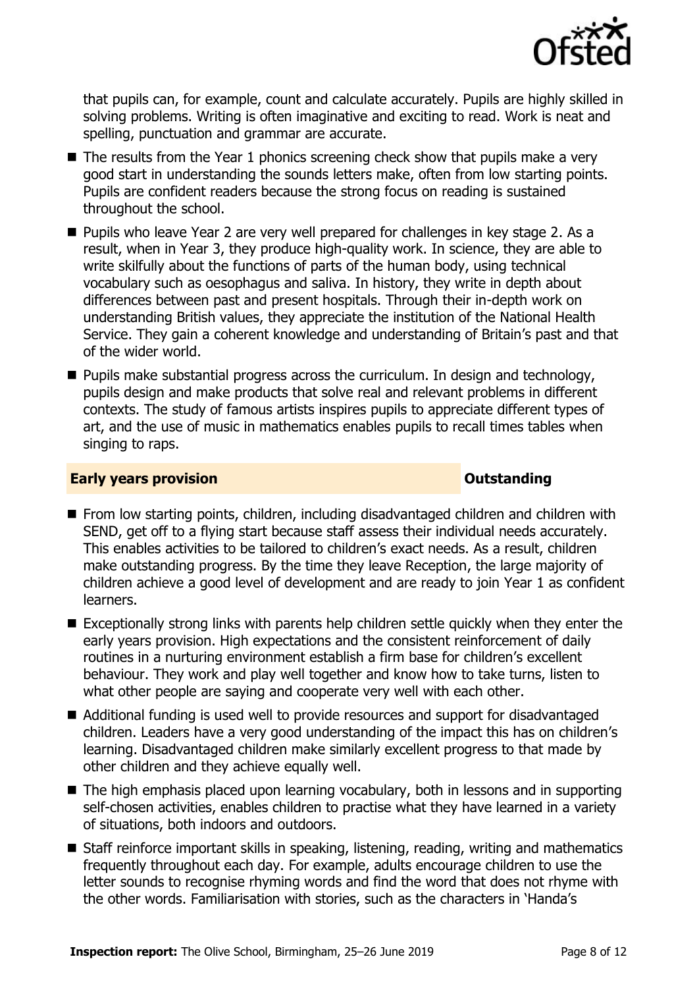

that pupils can, for example, count and calculate accurately. Pupils are highly skilled in solving problems. Writing is often imaginative and exciting to read. Work is neat and spelling, punctuation and grammar are accurate.

- $\blacksquare$  The results from the Year 1 phonics screening check show that pupils make a very good start in understanding the sounds letters make, often from low starting points. Pupils are confident readers because the strong focus on reading is sustained throughout the school.
- **Pupils who leave Year 2 are very well prepared for challenges in key stage 2. As a** result, when in Year 3, they produce high-quality work. In science, they are able to write skilfully about the functions of parts of the human body, using technical vocabulary such as oesophagus and saliva. In history, they write in depth about differences between past and present hospitals. Through their in-depth work on understanding British values, they appreciate the institution of the National Health Service. They gain a coherent knowledge and understanding of Britain's past and that of the wider world.
- $\blacksquare$  Pupils make substantial progress across the curriculum. In design and technology, pupils design and make products that solve real and relevant problems in different contexts. The study of famous artists inspires pupils to appreciate different types of art, and the use of music in mathematics enables pupils to recall times tables when singing to raps.

#### **Early years provision CONSTANDING TO A RESEARCH CONSTANDING TO A RESEARCH CONSTANDING TO A RESEARCH CONSTANDING TO A RESEARCH CONSTANDING TO A RESEARCH CONSTANDING TO A RESEARCH CONSTANDING TO A RESEARCH CONSTANDING TO**

- From low starting points, children, including disadvantaged children and children with SEND, get off to a flying start because staff assess their individual needs accurately. This enables activities to be tailored to children's exact needs. As a result, children make outstanding progress. By the time they leave Reception, the large majority of children achieve a good level of development and are ready to join Year 1 as confident learners.
- Exceptionally strong links with parents help children settle quickly when they enter the early years provision. High expectations and the consistent reinforcement of daily routines in a nurturing environment establish a firm base for children's excellent behaviour. They work and play well together and know how to take turns, listen to what other people are saying and cooperate very well with each other.
- Additional funding is used well to provide resources and support for disadvantaged children. Leaders have a very good understanding of the impact this has on children's learning. Disadvantaged children make similarly excellent progress to that made by other children and they achieve equally well.
- The high emphasis placed upon learning vocabulary, both in lessons and in supporting self-chosen activities, enables children to practise what they have learned in a variety of situations, both indoors and outdoors.
- Staff reinforce important skills in speaking, listening, reading, writing and mathematics frequently throughout each day. For example, adults encourage children to use the letter sounds to recognise rhyming words and find the word that does not rhyme with the other words. Familiarisation with stories, such as the characters in 'Handa's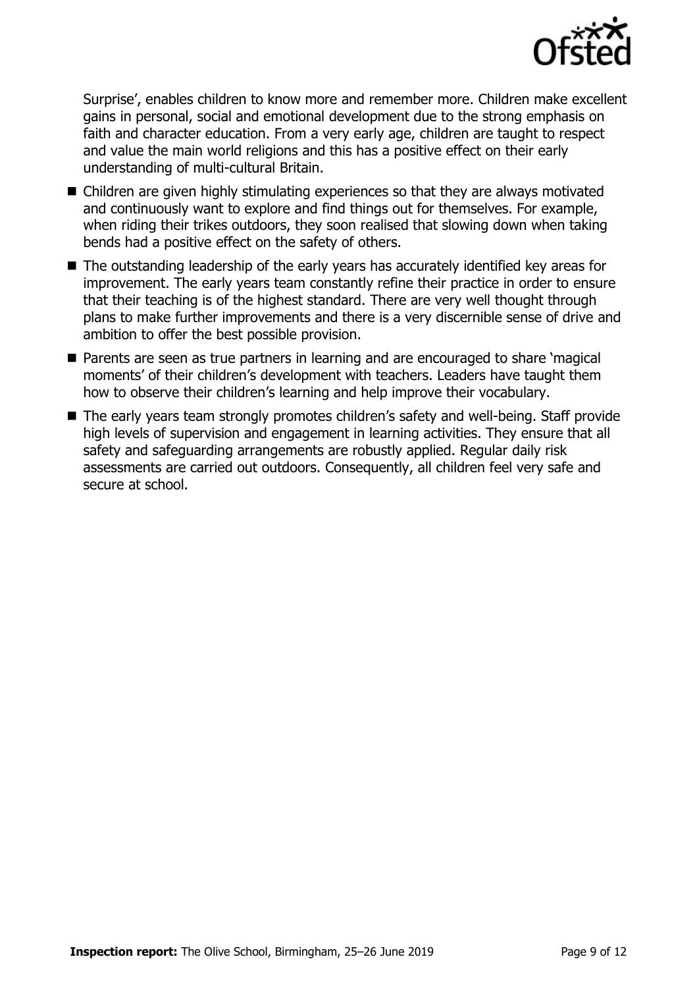

Surprise', enables children to know more and remember more. Children make excellent gains in personal, social and emotional development due to the strong emphasis on faith and character education. From a very early age, children are taught to respect and value the main world religions and this has a positive effect on their early understanding of multi-cultural Britain.

- Children are given highly stimulating experiences so that they are always motivated and continuously want to explore and find things out for themselves. For example, when riding their trikes outdoors, they soon realised that slowing down when taking bends had a positive effect on the safety of others.
- The outstanding leadership of the early years has accurately identified key areas for improvement. The early years team constantly refine their practice in order to ensure that their teaching is of the highest standard. There are very well thought through plans to make further improvements and there is a very discernible sense of drive and ambition to offer the best possible provision.
- Parents are seen as true partners in learning and are encouraged to share 'magical moments' of their children's development with teachers. Leaders have taught them how to observe their children's learning and help improve their vocabulary.
- The early years team strongly promotes children's safety and well-being. Staff provide high levels of supervision and engagement in learning activities. They ensure that all safety and safeguarding arrangements are robustly applied. Regular daily risk assessments are carried out outdoors. Consequently, all children feel very safe and secure at school.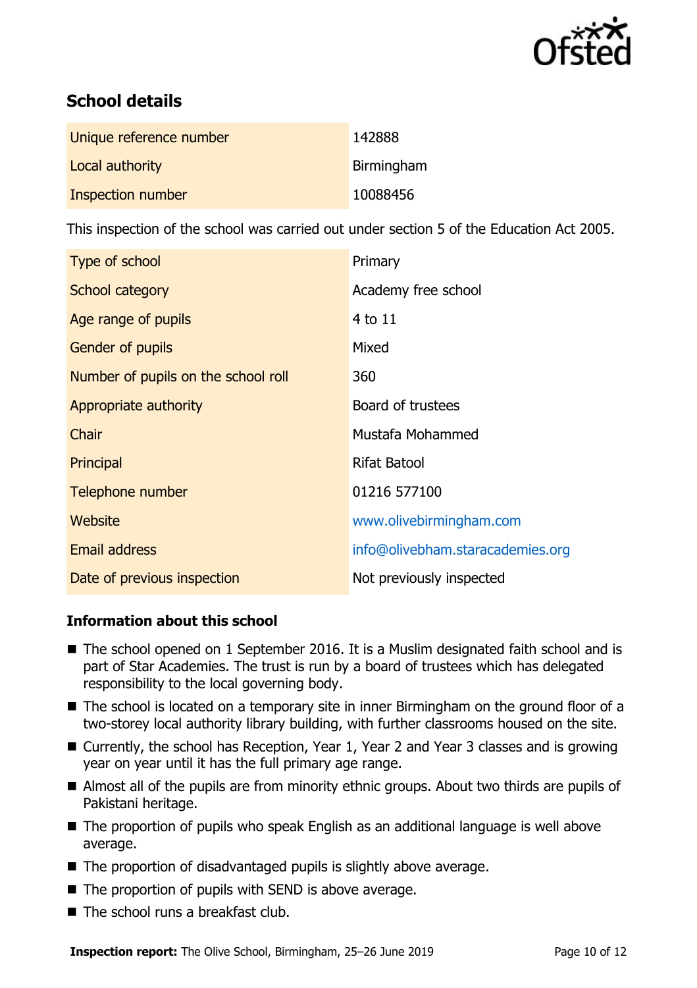

# **School details**

| Unique reference number | 142888     |
|-------------------------|------------|
| Local authority         | Birmingham |
| Inspection number       | 10088456   |

This inspection of the school was carried out under section 5 of the Education Act 2005.

| Type of school                      | Primary                          |
|-------------------------------------|----------------------------------|
| School category                     | Academy free school              |
| Age range of pupils                 | 4 to 11                          |
| <b>Gender of pupils</b>             | Mixed                            |
| Number of pupils on the school roll | 360                              |
| Appropriate authority               | Board of trustees                |
| Chair                               | Mustafa Mohammed                 |
| Principal                           | <b>Rifat Batool</b>              |
| Telephone number                    | 01216 577100                     |
| Website                             | www.olivebirmingham.com          |
| Email address                       | info@olivebham.staracademies.org |
| Date of previous inspection         | Not previously inspected         |

### **Information about this school**

- The school opened on 1 September 2016. It is a Muslim designated faith school and is part of Star Academies. The trust is run by a board of trustees which has delegated responsibility to the local governing body.
- The school is located on a temporary site in inner Birmingham on the ground floor of a two-storey local authority library building, with further classrooms housed on the site.
- Currently, the school has Reception, Year 1, Year 2 and Year 3 classes and is growing year on year until it has the full primary age range.
- Almost all of the pupils are from minority ethnic groups. About two thirds are pupils of Pakistani heritage.
- The proportion of pupils who speak English as an additional language is well above average.
- The proportion of disadvantaged pupils is slightly above average.
- The proportion of pupils with SEND is above average.
- The school runs a breakfast club.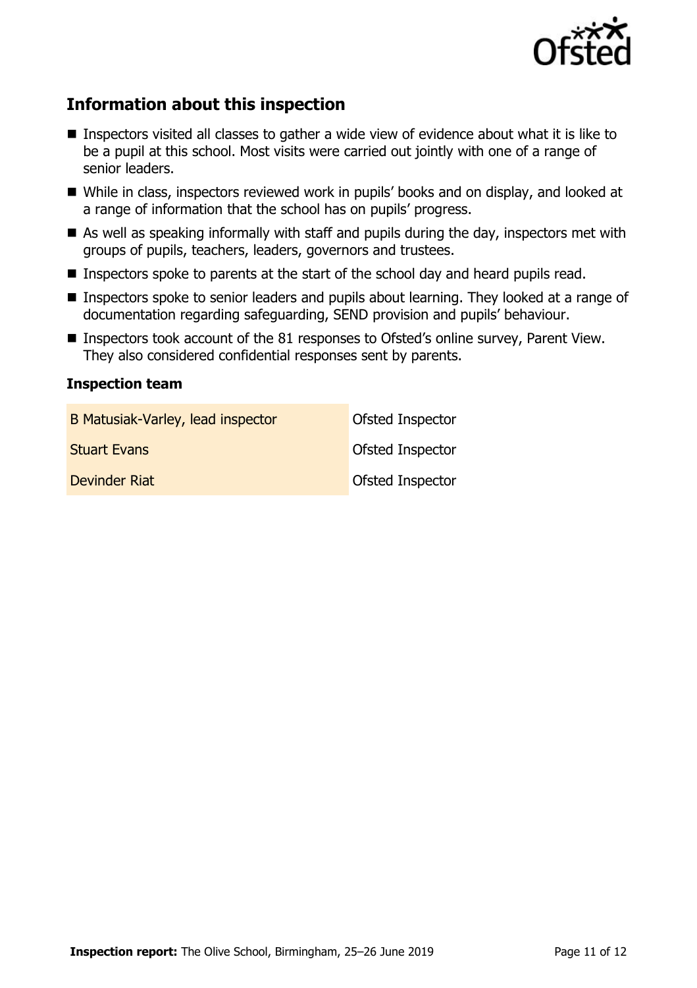

# **Information about this inspection**

- Inspectors visited all classes to gather a wide view of evidence about what it is like to be a pupil at this school. Most visits were carried out jointly with one of a range of senior leaders.
- While in class, inspectors reviewed work in pupils' books and on display, and looked at a range of information that the school has on pupils' progress.
- As well as speaking informally with staff and pupils during the day, inspectors met with groups of pupils, teachers, leaders, governors and trustees.
- Inspectors spoke to parents at the start of the school day and heard pupils read.
- **Inspectors spoke to senior leaders and pupils about learning. They looked at a range of** documentation regarding safeguarding, SEND provision and pupils' behaviour.
- Inspectors took account of the 81 responses to Ofsted's online survey, Parent View. They also considered confidential responses sent by parents.

#### **Inspection team**

| B Matusiak-Varley, lead inspector | Ofsted Inspector        |
|-----------------------------------|-------------------------|
| <b>Stuart Evans</b>               | <b>Ofsted Inspector</b> |
| Devinder Riat                     | <b>Ofsted Inspector</b> |